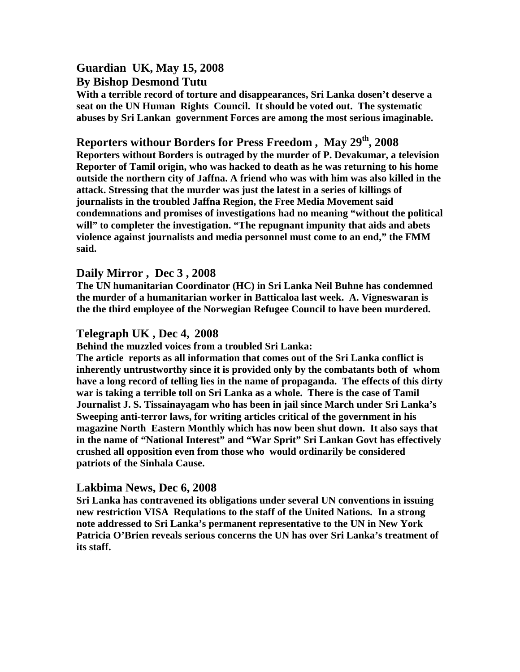# **Guardian UK, May 15, 2008**

#### **By Bishop Desmond Tutu**

**With a terrible record of torture and disappearances, Sri Lanka dosen't deserve a seat on the UN Human Rights Council. It should be voted out. The systematic abuses by Sri Lankan government Forces are among the most serious imaginable.** 

## **Reporters withour Borders for Press Freedom , May 29th, 2008**

**Reporters without Borders is outraged by the murder of P. Devakumar, a television Reporter of Tamil origin, who was hacked to death as he was returning to his home outside the northern city of Jaffna. A friend who was with him was also killed in the attack. Stressing that the murder was just the latest in a series of killings of journalists in the troubled Jaffna Region, the Free Media Movement said condemnations and promises of investigations had no meaning "without the political will" to completer the investigation. "The repugnant impunity that aids and abets violence against journalists and media personnel must come to an end," the FMM said.** 

### **Daily Mirror , Dec 3 , 2008**

**The UN humanitarian Coordinator (HC) in Sri Lanka Neil Buhne has condemned the murder of a humanitarian worker in Batticaloa last week. A. Vigneswaran is the the third employee of the Norwegian Refugee Council to have been murdered.** 

#### **Telegraph UK , Dec 4, 2008**

**Behind the muzzled voices from a troubled Sri Lanka:** 

**The article reports as all information that comes out of the Sri Lanka conflict is inherently untrustworthy since it is provided only by the combatants both of whom have a long record of telling lies in the name of propaganda. The effects of this dirty war is taking a terrible toll on Sri Lanka as a whole. There is the case of Tamil Journalist J. S. Tissainayagam who has been in jail since March under Sri Lanka's Sweeping anti-terror laws, for writing articles critical of the government in his magazine North Eastern Monthly which has now been shut down. It also says that in the name of "National Interest" and "War Sprit" Sri Lankan Govt has effectively crushed all opposition even from those who would ordinarily be considered patriots of the Sinhala Cause.**

### **Lakbima News, Dec 6, 2008**

**Sri Lanka has contravened its obligations under several UN conventions in issuing new restriction VISA Requlations to the staff of the United Nations. In a strong note addressed to Sri Lanka's permanent representative to the UN in New York Patricia O'Brien reveals serious concerns the UN has over Sri Lanka's treatment of its staff.**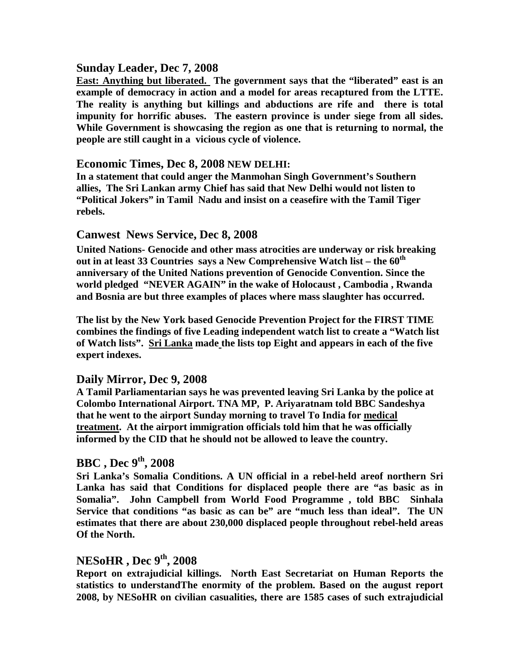### **Sunday Leader, Dec 7, 2008**

**East: Anything but liberated. The government says that the "liberated" east is an example of democracy in action and a model for areas recaptured from the LTTE. The reality is anything but killings and abductions are rife and there is total impunity for horrific abuses. The eastern province is under siege from all sides. While Government is showcasing the region as one that is returning to normal, the people are still caught in a vicious cycle of violence.** 

#### **Economic Times, Dec 8, 2008 NEW DELHI:**

**In a statement that could anger the Manmohan Singh Government's Southern allies, The Sri Lankan army Chief has said that New Delhi would not listen to "Political Jokers" in Tamil Nadu and insist on a ceasefire with the Tamil Tiger rebels.** 

#### **Canwest News Service, Dec 8, 2008**

**United Nations- Genocide and other mass atrocities are underway or risk breaking out in at least 33 Countries says a New Comprehensive Watch list – the 60th anniversary of the United Nations prevention of Genocide Convention. Since the world pledged "NEVER AGAIN" in the wake of Holocaust , Cambodia , Rwanda and Bosnia are but three examples of places where mass slaughter has occurred.** 

**The list by the New York based Genocide Prevention Project for the FIRST TIME combines the findings of five Leading independent watch list to create a "Watch list of Watch lists". Sri Lanka made the lists top Eight and appears in each of the five expert indexes.** 

#### **Daily Mirror, Dec 9, 2008**

**A Tamil Parliamentarian says he was prevented leaving Sri Lanka by the police at Colombo International Airport. TNA MP, P. Ariyaratnam told BBC Sandeshya that he went to the airport Sunday morning to travel To India for medical treatment. At the airport immigration officials told him that he was officially informed by the CID that he should not be allowed to leave the country.** 

## **BBC , Dec 9th, 2008**

**Sri Lanka's Somalia Conditions. A UN official in a rebel-held areof northern Sri Lanka has said that Conditions for displaced people there are "as basic as in Somalia". John Campbell from World Food Programme , told BBC Sinhala Service that conditions "as basic as can be" are "much less than ideal". The UN estimates that there are about 230,000 displaced people throughout rebel-held areas Of the North.** 

## **NESoHR , Dec 9th, 2008**

**Report on extrajudicial killings. North East Secretariat on Human Reports the statistics to understandThe enormity of the problem. Based on the august report 2008, by NESoHR on civilian casualities, there are 1585 cases of such extrajudicial**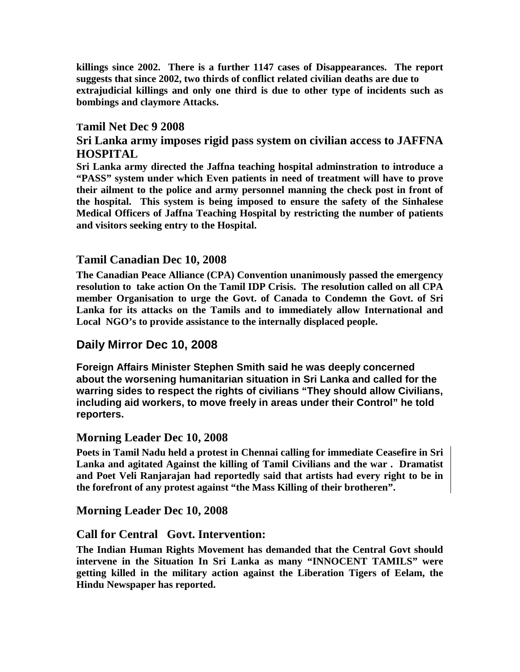**killings since 2002. There is a further 1147 cases of Disappearances. The report suggests that since 2002, two thirds of conflict related civilian deaths are due to extrajudicial killings and only one third is due to other type of incidents such as bombings and claymore Attacks.** 

#### **Tamil Net Dec 9 2008**

## **Sri Lanka army imposes rigid pass system on civilian access to JAFFNA HOSPITAL**

**Sri Lanka army directed the Jaffna teaching hospital adminstration to introduce a "PASS" system under which Even patients in need of treatment will have to prove their ailment to the police and army personnel manning the check post in front of the hospital. This system is being imposed to ensure the safety of the Sinhalese Medical Officers of Jaffna Teaching Hospital by restricting the number of patients and visitors seeking entry to the Hospital.** 

### **Tamil Canadian Dec 10, 2008**

**The Canadian Peace Alliance (CPA) Convention unanimously passed the emergency resolution to take action On the Tamil IDP Crisis. The resolution called on all CPA member Organisation to urge the Govt. of Canada to Condemn the Govt. of Sri Lanka for its attacks on the Tamils and to immediately allow International and Local NGO's to provide assistance to the internally displaced people.** 

### **Daily Mirror Dec 10, 2008**

**Foreign Affairs Minister Stephen Smith said he was deeply concerned about the worsening humanitarian situation in Sri Lanka and called for the warring sides to respect the rights of civilians "They should allow Civilians, including aid workers, to move freely in areas under their Control" he told reporters.** 

#### **Morning Leader Dec 10, 2008**

**Poets in Tamil Nadu held a protest in Chennai calling for immediate Ceasefire in Sri Lanka and agitated Against the killing of Tamil Civilians and the war . Dramatist and Poet Veli Ranjarajan had reportedly said that artists had every right to be in the forefront of any protest against "the Mass Killing of their brotheren".** 

### **Morning Leader Dec 10, 2008**

#### **Call for Central Govt. Intervention:**

**The Indian Human Rights Movement has demanded that the Central Govt should intervene in the Situation In Sri Lanka as many "INNOCENT TAMILS" were getting killed in the military action against the Liberation Tigers of Eelam, the Hindu Newspaper has reported.**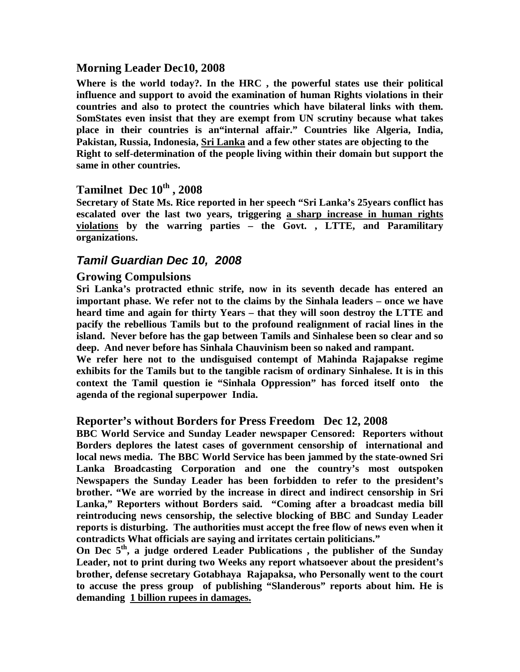### **Morning Leader Dec10, 2008**

**Where is the world today?. In the HRC , the powerful states use their political influence and support to avoid the examination of human Rights violations in their countries and also to protect the countries which have bilateral links with them. SomStates even insist that they are exempt from UN scrutiny because what takes place in their countries is an"internal affair." Countries like Algeria, India, Pakistan, Russia, Indonesia, Sri Lanka and a few other states are objecting to the Right to self-determination of the people living within their domain but support the same in other countries.** 

## **Tamilnet Dec 10th , 2008**

**Secretary of State Ms. Rice reported in her speech "Sri Lanka's 25years conflict has escalated over the last two years, triggering a sharp increase in human rights violations by the warring parties – the Govt. , LTTE, and Paramilitary organizations.** 

## **Tamil Guardian Dec 10, 2008**

#### **Growing Compulsions**

**Sri Lanka's protracted ethnic strife, now in its seventh decade has entered an important phase. We refer not to the claims by the Sinhala leaders – once we have heard time and again for thirty Years – that they will soon destroy the LTTE and pacify the rebellious Tamils but to the profound realignment of racial lines in the island. Never before has the gap between Tamils and Sinhalese been so clear and so deep. And never before has Sinhala Chauvinism been so naked and rampant.** 

**We refer here not to the undisguised contempt of Mahinda Rajapakse regime exhibits for the Tamils but to the tangible racism of ordinary Sinhalese. It is in this context the Tamil question ie "Sinhala Oppression" has forced itself onto the agenda of the regional superpower India.** 

#### **Reporter's without Borders for Press Freedom Dec 12, 2008**

**BBC World Service and Sunday Leader newspaper Censored: Reporters without Borders deplores the latest cases of government censorship of international and local news media. The BBC World Service has been jammed by the state-owned Sri Lanka Broadcasting Corporation and one the country's most outspoken Newspapers the Sunday Leader has been forbidden to refer to the president's brother. "We are worried by the increase in direct and indirect censorship in Sri Lanka," Reporters without Borders said. "Coming after a broadcast media bill reintroducing news censorship, the selective blocking of BBC and Sunday Leader reports is disturbing. The authorities must accept the free flow of news even when it contradicts What officials are saying and irritates certain politicians."** 

**On Dec 5th, a judge ordered Leader Publications , the publisher of the Sunday Leader, not to print during two Weeks any report whatsoever about the president's brother, defense secretary Gotabhaya Rajapaksa, who Personally went to the court to accuse the press group of publishing "Slanderous" reports about him. He is demanding 1 billion rupees in damages.**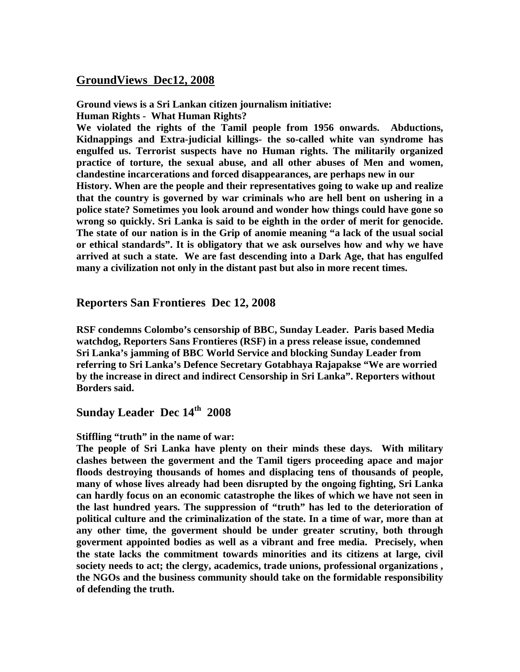## **GroundViews Dec12, 2008**

**Ground views is a Sri Lankan citizen journalism initiative: Human Rights - What Human Rights?** 

**We violated the rights of the Tamil people from 1956 onwards. Abductions, Kidnappings and Extra-judicial killings- the so-called white van syndrome has engulfed us. Terrorist suspects have no Human rights. The militarily organized practice of torture, the sexual abuse, and all other abuses of Men and women, clandestine incarcerations and forced disappearances, are perhaps new in our History. When are the people and their representatives going to wake up and realize that the country is governed by war criminals who are hell bent on ushering in a police state? Sometimes you look around and wonder how things could have gone so wrong so quickly. Sri Lanka is said to be eighth in the order of merit for genocide. The state of our nation is in the Grip of anomie meaning "a lack of the usual social or ethical standards". It is obligatory that we ask ourselves how and why we have arrived at such a state. We are fast descending into a Dark Age, that has engulfed many a civilization not only in the distant past but also in more recent times.** 

#### **Reporters San Frontieres Dec 12, 2008**

**RSF condemns Colombo's censorship of BBC, Sunday Leader. Paris based Media watchdog, Reporters Sans Frontieres (RSF) in a press release issue, condemned Sri Lanka's jamming of BBC World Service and blocking Sunday Leader from referring to Sri Lanka's Defence Secretary Gotabhaya Rajapakse "We are worried by the increase in direct and indirect Censorship in Sri Lanka". Reporters without Borders said.** 

## **Sunday Leader Dec 14th 2008**

#### **Stiffling "truth" in the name of war:**

**The people of Sri Lanka have plenty on their minds these days. With military clashes between the goverment and the Tamil tigers proceeding apace and major floods destroying thousands of homes and displacing tens of thousands of people, many of whose lives already had been disrupted by the ongoing fighting, Sri Lanka can hardly focus on an economic catastrophe the likes of which we have not seen in the last hundred years. The suppression of "truth" has led to the deterioration of political culture and the criminalization of the state. In a time of war, more than at any other time, the goverment should be under greater scrutiny, both through goverment appointed bodies as well as a vibrant and free media. Precisely, when the state lacks the commitment towards minorities and its citizens at large, civil society needs to act; the clergy, academics, trade unions, professional organizations , the NGOs and the business community should take on the formidable responsibility of defending the truth.**